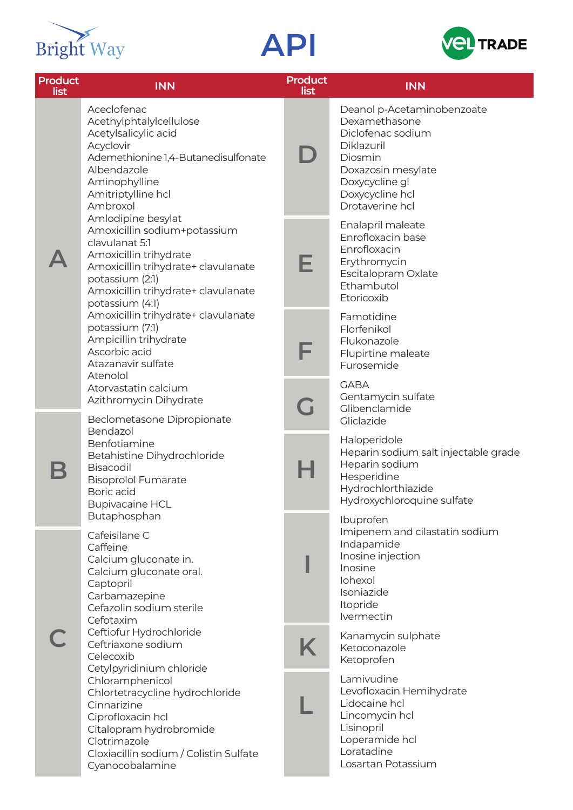





| <b>Product</b><br>list | <b>INN</b>                                                                                                                                                                                                                                                                                                                                                                                                                                                                                                                                                                                                                                                                                                                                                                     | <b>Product</b><br>list  | <b>INN</b>                                                                                                                                                              |
|------------------------|--------------------------------------------------------------------------------------------------------------------------------------------------------------------------------------------------------------------------------------------------------------------------------------------------------------------------------------------------------------------------------------------------------------------------------------------------------------------------------------------------------------------------------------------------------------------------------------------------------------------------------------------------------------------------------------------------------------------------------------------------------------------------------|-------------------------|-------------------------------------------------------------------------------------------------------------------------------------------------------------------------|
|                        | Aceclofenac<br>Acethylphtalylcellulose<br>Acetylsalicylic acid<br>Acyclovir<br>Ademethionine 1,4-Butanedisulfonate<br>Albendazole<br>Aminophylline<br>Amitriptylline hcl<br>Ambroxol<br>Amlodipine besylat<br>Amoxicillin sodium+potassium<br>clavulanat 5:1<br>Amoxicillin trihydrate<br>Amoxicillin trihydrate+ clavulanate<br>potassium (2:1)<br>Amoxicillin trihydrate+ clavulanate<br>potassium (4:1)<br>Amoxicillin trihydrate+ clavulanate<br>potassium (7:1)<br>Ampicillin trihydrate<br>Ascorbic acid<br>Atazanavir sulfate<br>Atenolol<br>Atorvastatin calcium<br>Azithromycin Dihydrate<br>Beclometasone Dipropionate<br>Bendazol<br>Benfotiamine<br>Betahistine Dihydrochloride<br>Bisacodil<br><b>Bisoprolol Fumarate</b><br>Boric acid<br><b>Bupivacaine HCL</b> |                         | Deanol p-Acetaminobenzoate<br>Dexamethasone<br>Diclofenac sodium<br>Diklazuril<br>Diosmin<br>Doxazosin mesylate<br>Doxycycline gl<br>Doxycycline hcl<br>Drotaverine hcl |
|                        |                                                                                                                                                                                                                                                                                                                                                                                                                                                                                                                                                                                                                                                                                                                                                                                | E                       | Enalapril maleate<br>Enrofloxacin base<br>Enrofloxacin<br>Erythromycin<br>Escitalopram Oxlate<br>Ethambutol<br>Etoricoxib                                               |
|                        |                                                                                                                                                                                                                                                                                                                                                                                                                                                                                                                                                                                                                                                                                                                                                                                | F                       | Famotidine<br>Florfenikol<br>Flukonazole<br>Flupirtine maleate<br>Furosemide                                                                                            |
|                        |                                                                                                                                                                                                                                                                                                                                                                                                                                                                                                                                                                                                                                                                                                                                                                                | $\overline{\mathbf{u}}$ | <b>GABA</b><br>Gentamycin sulfate<br>Glibenclamide<br>Gliclazide                                                                                                        |
|                        |                                                                                                                                                                                                                                                                                                                                                                                                                                                                                                                                                                                                                                                                                                                                                                                | Н                       | Haloperidole<br>Heparin sodium salt injectable grade<br>Heparin sodium<br>Hesperidine<br>Hydrochlorthiazide<br>Hydroxychloroquine sulfate                               |
|                        | Butaphosphan<br>Cafeisilane C<br>Caffeine<br>Calcium gluconate in.<br>Calcium gluconate oral.<br>Captopril<br>Carbamazepine<br>Cefazolin sodium sterile<br>Cefotaxim<br>Ceftiofur Hydrochloride<br>Ceftriaxone sodium<br>Celecoxib<br>Cetylpyridinium chloride<br>Chloramphenicol<br>Chlortetracycline hydrochloride<br>Cinnarizine<br>Ciprofloxacin hcl<br>Citalopram hydrobromide<br>Clotrimazole<br>Cloxiacillin sodium / Colistin Sulfate<br>Cyanocobalamine                                                                                                                                                                                                                                                                                                               |                         | Ibuprofen<br>Imipenem and cilastatin sodium<br>Indapamide<br>Inosine injection<br>Inosine<br>Iohexol<br>Isoniazide<br>Itopride<br>Ivermectin                            |
|                        |                                                                                                                                                                                                                                                                                                                                                                                                                                                                                                                                                                                                                                                                                                                                                                                | Κ                       | Kanamycin sulphate<br>Ketoconazole<br>Ketoprofen                                                                                                                        |
|                        |                                                                                                                                                                                                                                                                                                                                                                                                                                                                                                                                                                                                                                                                                                                                                                                |                         | Lamivudine<br>Levofloxacin Hemihydrate<br>Lidocaine hcl<br>Lincomycin hcl<br>Lisinopril<br>Loperamide hcl<br>Loratadine<br>Losartan Potassium                           |